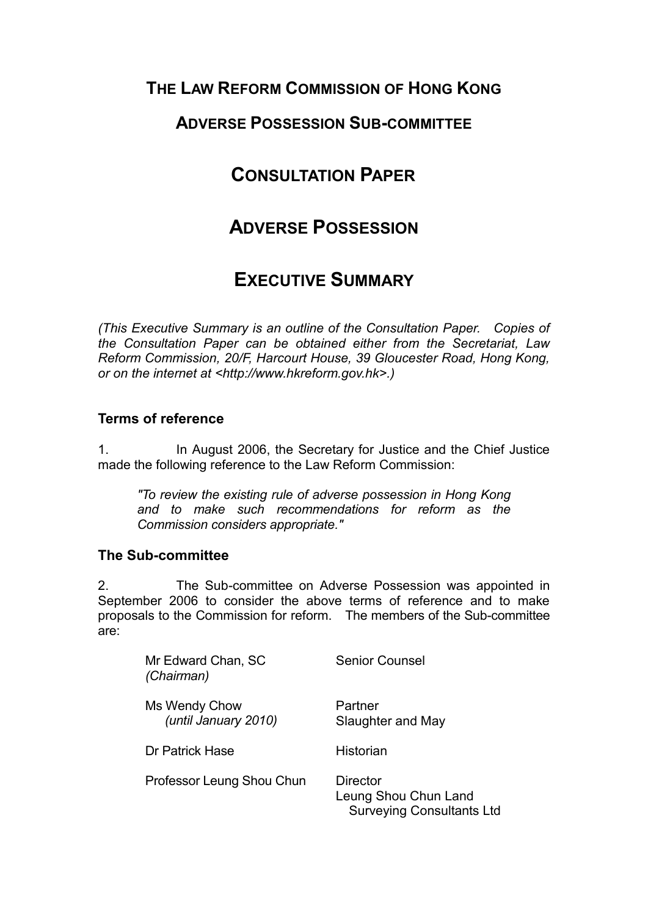# **THE LAW REFORM COMMISSION OF HONG KONG**

# **ADVERSE POSSESSION SUB-COMMITTEE**

# **CONSULTATION PAPER**

# **ADVERSE POSSESSION**

# **EXECUTIVE SUMMARY**

*(This Executive Summary is an outline of the Consultation Paper. Copies of the Consultation Paper can be obtained either from the Secretariat, Law Reform Commission, 20/F, Harcourt House, 39 Gloucester Road, Hong Kong, or on the internet at <http://www.hkreform.gov.hk>.)*

## **Terms of reference**

1. In August 2006, the Secretary for Justice and the Chief Justice made the following reference to the Law Reform Commission:

*"To review the existing rule of adverse possession in Hong Kong and to make such recommendations for reform as the Commission considers appropriate."* 

## **The Sub-committee**

2. The Sub-committee on Adverse Possession was appointed in September 2006 to consider the above terms of reference and to make proposals to the Commission for reform. The members of the Sub-committee are:

| Mr Edward Chan, SC<br>(Chairman)      | <b>Senior Counsel</b>                                                       |
|---------------------------------------|-----------------------------------------------------------------------------|
| Ms Wendy Chow<br>(until January 2010) | Partner<br>Slaughter and May                                                |
| Dr Patrick Hase                       | Historian                                                                   |
| Professor Leung Shou Chun             | <b>Director</b><br>Leung Shou Chun Land<br><b>Surveying Consultants Ltd</b> |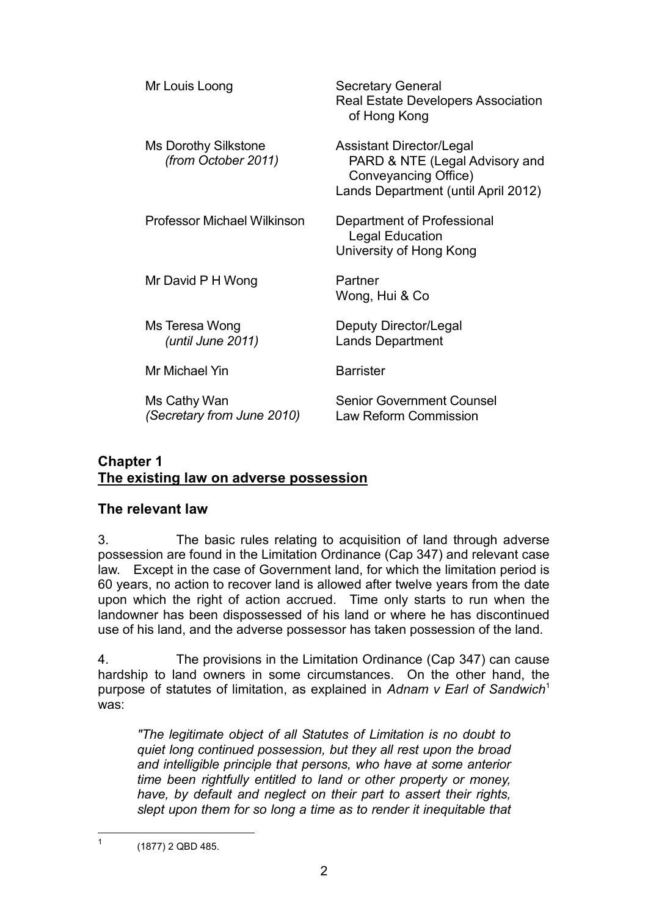| Mr Louis Loong                                     | <b>Secretary General</b><br>Real Estate Developers Association<br>of Hong Kong                                                   |
|----------------------------------------------------|----------------------------------------------------------------------------------------------------------------------------------|
| <b>Ms Dorothy Silkstone</b><br>(from October 2011) | <b>Assistant Director/Legal</b><br>PARD & NTE (Legal Advisory and<br>Conveyancing Office)<br>Lands Department (until April 2012) |
| <b>Professor Michael Wilkinson</b>                 | Department of Professional<br><b>Legal Education</b><br>University of Hong Kong                                                  |
| Mr David P H Wong                                  | Partner<br>Wong, Hui & Co                                                                                                        |
| Ms Teresa Wong<br>(until June 2011)                | Deputy Director/Legal<br><b>Lands Department</b>                                                                                 |
| Mr Michael Yin                                     | <b>Barrister</b>                                                                                                                 |
| Ms Cathy Wan<br>(Secretary from June 2010)         | <b>Senior Government Counsel</b><br>Law Reform Commission                                                                        |

## **Chapter 1 The existing law on adverse possession**

## **The relevant law**

3. The basic rules relating to acquisition of land through adverse possession are found in the Limitation Ordinance (Cap 347) and relevant case law. Except in the case of Government land, for which the limitation period is 60 years, no action to recover land is allowed after twelve years from the date upon which the right of action accrued. Time only starts to run when the landowner has been dispossessed of his land or where he has discontinued use of his land, and the adverse possessor has taken possession of the land.

4. The provisions in the Limitation Ordinance (Cap 347) can cause hardship to land owners in some circumstances. On the other hand, the purpose of statutes of limitation, as explained in *Adnam v Earl of Sandwich*<sup>1</sup> was:

*"The legitimate object of all Statutes of Limitation is no doubt to quiet long continued possession, but they all rest upon the broad and intelligible principle that persons, who have at some anterior time been rightfully entitled to land or other property or money, have, by default and neglect on their part to assert their rights, slept upon them for so long a time as to render it inequitable that* 

 $\frac{1}{1}$ 

 <sup>(1877) 2</sup> QBD 485.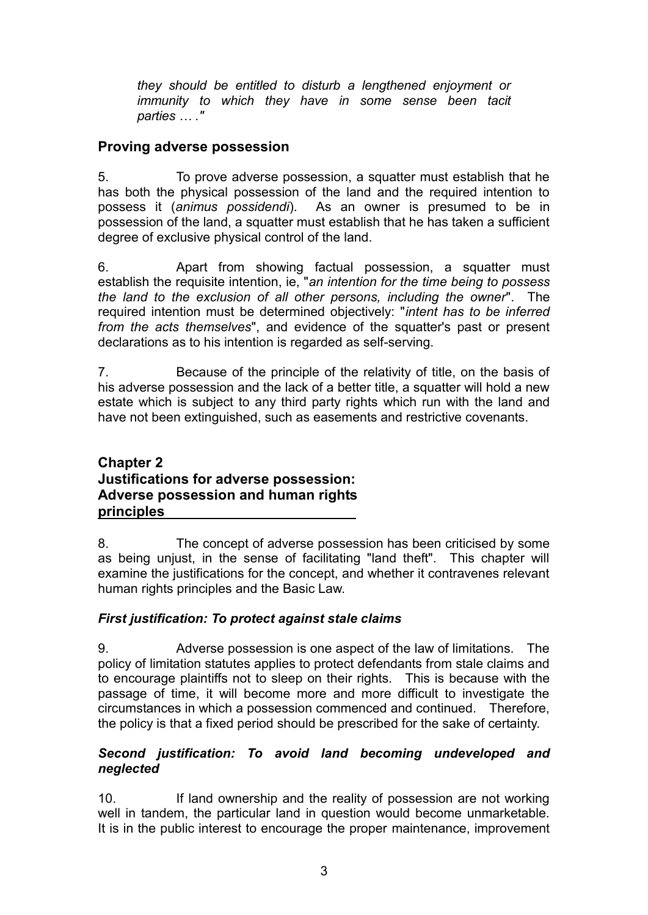*they should be entitled to disturb a lengthened enjoyment or immunity to which they have in some sense been tacit parties … ."* 

## **Proving adverse possession**

5. To prove adverse possession, a squatter must establish that he has both the physical possession of the land and the required intention to possess it (*animus possidendi*). As an owner is presumed to be in possession of the land, a squatter must establish that he has taken a sufficient degree of exclusive physical control of the land.

6. Apart from showing factual possession, a squatter must establish the requisite intention, ie, "*an intention for the time being to possess the land to the exclusion of all other persons, including the owner*". The required intention must be determined objectively: "*intent has to be inferred from the acts themselves*", and evidence of the squatter's past or present declarations as to his intention is regarded as self-serving.

7. Because of the principle of the relativity of title, on the basis of his adverse possession and the lack of a better title, a squatter will hold a new estate which is subject to any third party rights which run with the land and have not been extinguished, such as easements and restrictive covenants.

## **Chapter 2 Justifications for adverse possession: Adverse possession and human rights principles**

8. The concept of adverse possession has been criticised by some as being unjust, in the sense of facilitating "land theft". This chapter will examine the justifications for the concept, and whether it contravenes relevant human rights principles and the Basic Law.

## *First justification: To protect against stale claims*

9. Adverse possession is one aspect of the law of limitations. The policy of limitation statutes applies to protect defendants from stale claims and to encourage plaintiffs not to sleep on their rights. This is because with the passage of time, it will become more and more difficult to investigate the circumstances in which a possession commenced and continued. Therefore, the policy is that a fixed period should be prescribed for the sake of certainty.

## *Second justification: To avoid land becoming undeveloped and neglected*

10. If land ownership and the reality of possession are not working well in tandem, the particular land in question would become unmarketable. It is in the public interest to encourage the proper maintenance, improvement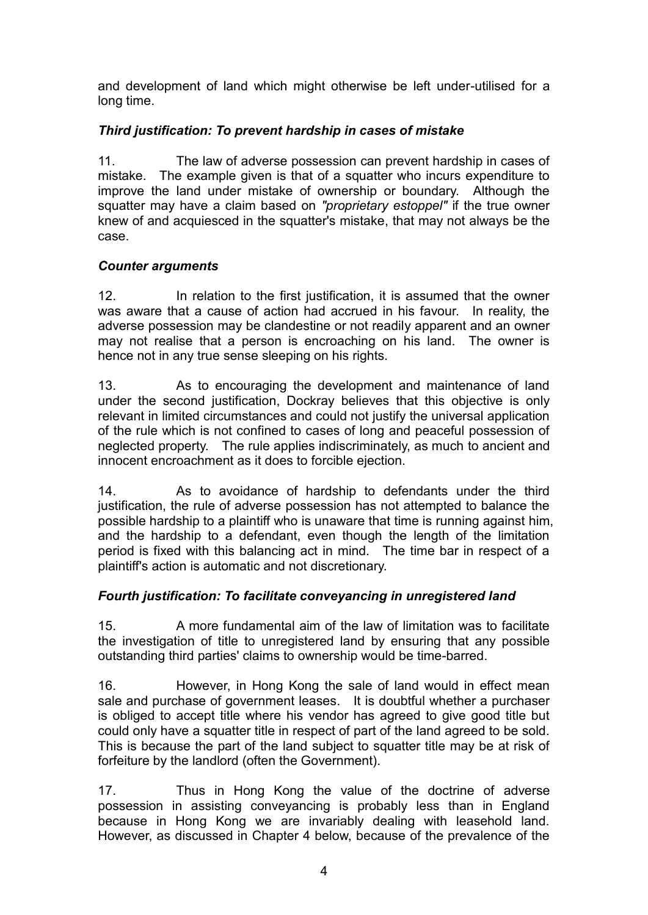and development of land which might otherwise be left under-utilised for a long time.

## *Third justification: To prevent hardship in cases of mistake*

11. The law of adverse possession can prevent hardship in cases of mistake. The example given is that of a squatter who incurs expenditure to improve the land under mistake of ownership or boundary. Although the squatter may have a claim based on *"proprietary estoppel"* if the true owner knew of and acquiesced in the squatter's mistake, that may not always be the case.

#### *Counter arguments*

12. In relation to the first justification, it is assumed that the owner was aware that a cause of action had accrued in his favour. In reality, the adverse possession may be clandestine or not readily apparent and an owner may not realise that a person is encroaching on his land. The owner is hence not in any true sense sleeping on his rights.

13. As to encouraging the development and maintenance of land under the second justification, Dockray believes that this objective is only relevant in limited circumstances and could not justify the universal application of the rule which is not confined to cases of long and peaceful possession of neglected property. The rule applies indiscriminately, as much to ancient and innocent encroachment as it does to forcible ejection.

14. As to avoidance of hardship to defendants under the third justification, the rule of adverse possession has not attempted to balance the possible hardship to a plaintiff who is unaware that time is running against him, and the hardship to a defendant, even though the length of the limitation period is fixed with this balancing act in mind. The time bar in respect of a plaintiff's action is automatic and not discretionary.

## *Fourth justification: To facilitate conveyancing in unregistered land*

15. A more fundamental aim of the law of limitation was to facilitate the investigation of title to unregistered land by ensuring that any possible outstanding third parties' claims to ownership would be time-barred.

16. However, in Hong Kong the sale of land would in effect mean sale and purchase of government leases. It is doubtful whether a purchaser is obliged to accept title where his vendor has agreed to give good title but could only have a squatter title in respect of part of the land agreed to be sold. This is because the part of the land subject to squatter title may be at risk of forfeiture by the landlord (often the Government).

17. Thus in Hong Kong the value of the doctrine of adverse possession in assisting conveyancing is probably less than in England because in Hong Kong we are invariably dealing with leasehold land. However, as discussed in Chapter 4 below, because of the prevalence of the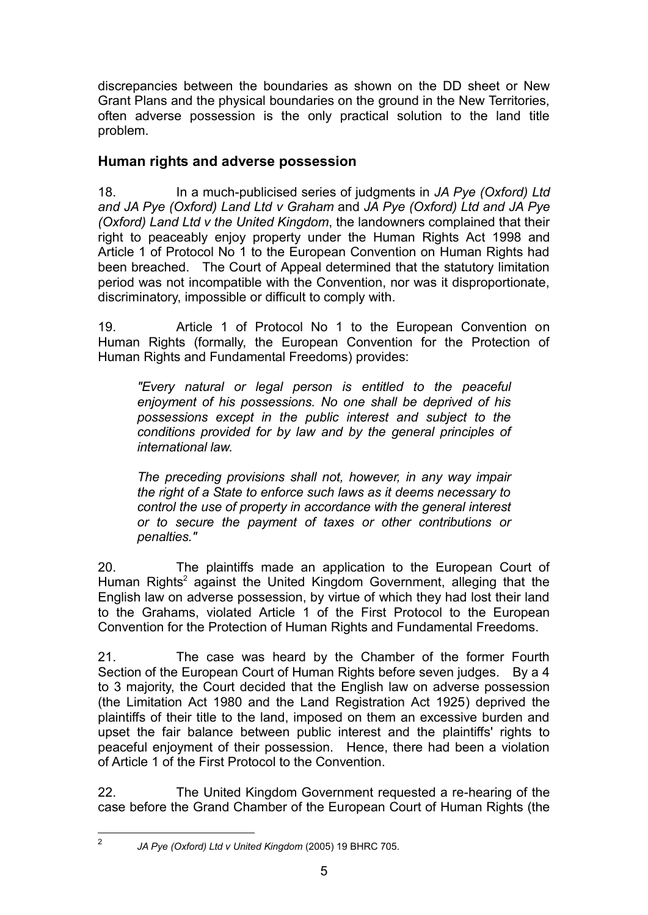discrepancies between the boundaries as shown on the DD sheet or New Grant Plans and the physical boundaries on the ground in the New Territories, often adverse possession is the only practical solution to the land title problem.

## **Human rights and adverse possession**

18. In a much-publicised series of judgments in *JA Pye (Oxford) Ltd and JA Pye (Oxford) Land Ltd v Graham* and *JA Pye (Oxford) Ltd and JA Pye (Oxford) Land Ltd v the United Kingdom*, the landowners complained that their right to peaceably enjoy property under the Human Rights Act 1998 and Article 1 of Protocol No 1 to the European Convention on Human Rights had been breached. The Court of Appeal determined that the statutory limitation period was not incompatible with the Convention, nor was it disproportionate, discriminatory, impossible or difficult to comply with.

19. Article 1 of Protocol No 1 to the European Convention on Human Rights (formally, the European Convention for the Protection of Human Rights and Fundamental Freedoms) provides:

*"Every natural or legal person is entitled to the peaceful enjoyment of his possessions. No one shall be deprived of his possessions except in the public interest and subject to the conditions provided for by law and by the general principles of international law.* 

*The preceding provisions shall not, however, in any way impair the right of a State to enforce such laws as it deems necessary to control the use of property in accordance with the general interest or to secure the payment of taxes or other contributions or penalties."* 

20. The plaintiffs made an application to the European Court of Human Rights<sup>2</sup> against the United Kingdom Government, alleging that the English law on adverse possession, by virtue of which they had lost their land to the Grahams, violated Article 1 of the First Protocol to the European Convention for the Protection of Human Rights and Fundamental Freedoms.

21. The case was heard by the Chamber of the former Fourth Section of the European Court of Human Rights before seven judges. By a 4 to 3 majority, the Court decided that the English law on adverse possession (the Limitation Act 1980 and the Land Registration Act 1925) deprived the plaintiffs of their title to the land, imposed on them an excessive burden and upset the fair balance between public interest and the plaintiffs' rights to peaceful enjoyment of their possession. Hence, there had been a violation of Article 1 of the First Protocol to the Convention.

22. The United Kingdom Government requested a re-hearing of the case before the Grand Chamber of the European Court of Human Rights (the

 $\frac{1}{2}$ 

*JA Pye (Oxford) Ltd v United Kingdom* (2005) 19 BHRC 705.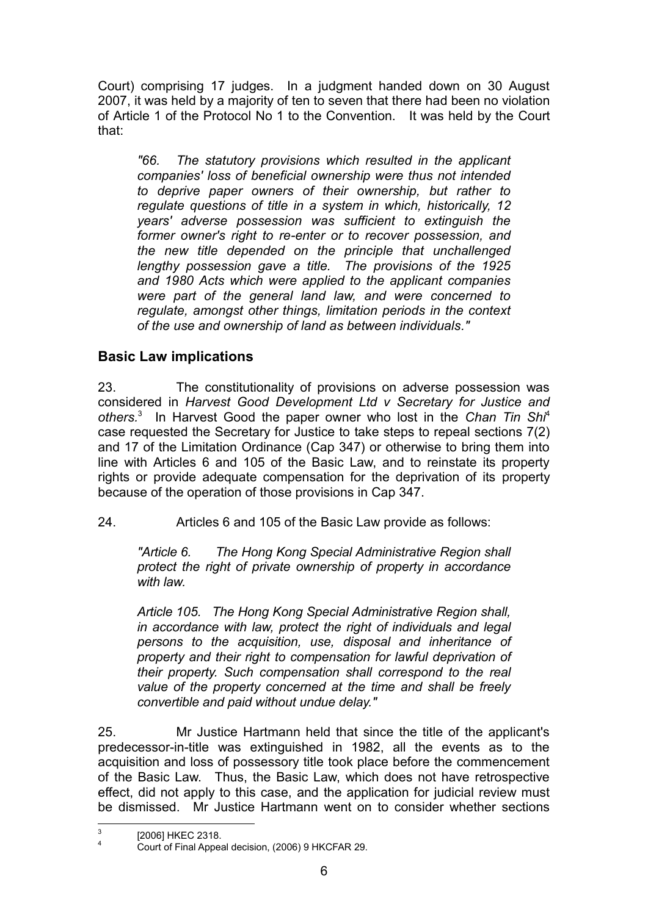Court) comprising 17 judges. In a judgment handed down on 30 August 2007, it was held by a majority of ten to seven that there had been no violation of Article 1 of the Protocol No 1 to the Convention. It was held by the Court that:

*"66. The statutory provisions which resulted in the applicant companies' loss of beneficial ownership were thus not intended to deprive paper owners of their ownership, but rather to regulate questions of title in a system in which, historically, 12 years' adverse possession was sufficient to extinguish the former owner's right to re-enter or to recover possession, and the new title depended on the principle that unchallenged lengthy possession gave a title. The provisions of the 1925 and 1980 Acts which were applied to the applicant companies were part of the general land law, and were concerned to regulate, amongst other things, limitation periods in the context of the use and ownership of land as between individuals."*

# **Basic Law implications**

23. The constitutionality of provisions on adverse possession was considered in *Harvest Good Development Ltd v Secretary for Justice and others.*<sup>3</sup> In Harvest Good the paper owner who lost in the *Chan Tin Shi*<sup>4</sup> case requested the Secretary for Justice to take steps to repeal sections 7(2) and 17 of the Limitation Ordinance (Cap 347) or otherwise to bring them into line with Articles 6 and 105 of the Basic Law, and to reinstate its property rights or provide adequate compensation for the deprivation of its property because of the operation of those provisions in Cap 347.

24. Articles 6 and 105 of the Basic Law provide as follows:

*"Article 6. The Hong Kong Special Administrative Region shall protect the right of private ownership of property in accordance with law.* 

*Article 105. The Hong Kong Special Administrative Region shall, in accordance with law, protect the right of individuals and legal persons to the acquisition, use, disposal and inheritance of property and their right to compensation for lawful deprivation of their property. Such compensation shall correspond to the real value of the property concerned at the time and shall be freely convertible and paid without undue delay."* 

25. Mr Justice Hartmann held that since the title of the applicant's predecessor-in-title was extinguished in 1982, all the events as to the acquisition and loss of possessory title took place before the commencement of the Basic Law. Thus, the Basic Law, which does not have retrospective effect, did not apply to this case, and the application for judicial review must be dismissed. Mr Justice Hartmann went on to consider whether sections

<sup>-&</sup>lt;br>3 [2006] HKEC 2318. 4

Court of Final Appeal decision, (2006) 9 HKCFAR 29.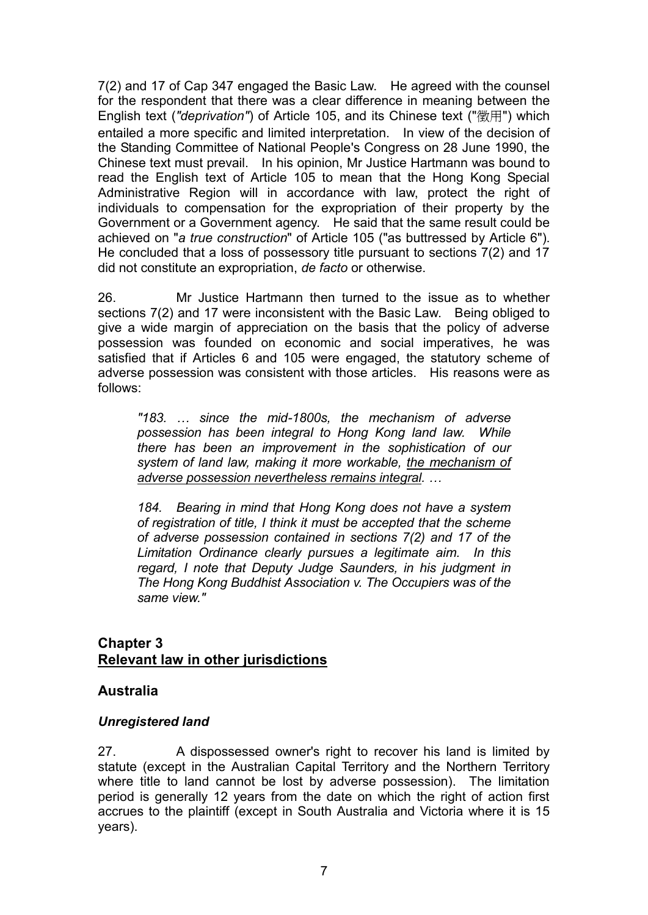7(2) and 17 of Cap 347 engaged the Basic Law. He agreed with the counsel for the respondent that there was a clear difference in meaning between the English text (*"deprivation"*) of Article 105, and its Chinese text ("徵用") which entailed a more specific and limited interpretation. In view of the decision of the Standing Committee of National People's Congress on 28 June 1990, the Chinese text must prevail. In his opinion, Mr Justice Hartmann was bound to read the English text of Article 105 to mean that the Hong Kong Special Administrative Region will in accordance with law, protect the right of individuals to compensation for the expropriation of their property by the Government or a Government agency. He said that the same result could be achieved on "*a true construction*" of Article 105 ("as buttressed by Article 6"). He concluded that a loss of possessory title pursuant to sections 7(2) and 17 did not constitute an expropriation, *de facto* or otherwise.

26. Mr Justice Hartmann then turned to the issue as to whether sections 7(2) and 17 were inconsistent with the Basic Law. Being obliged to give a wide margin of appreciation on the basis that the policy of adverse possession was founded on economic and social imperatives, he was satisfied that if Articles 6 and 105 were engaged, the statutory scheme of adverse possession was consistent with those articles. His reasons were as follows:

*"183. … since the mid-1800s, the mechanism of adverse possession has been integral to Hong Kong land law. While there has been an improvement in the sophistication of our system of land law, making it more workable, the mechanism of adverse possession nevertheless remains integral. …* 

*184. Bearing in mind that Hong Kong does not have a system of registration of title, I think it must be accepted that the scheme of adverse possession contained in sections 7(2) and 17 of the Limitation Ordinance clearly pursues a legitimate aim. In this regard, I note that Deputy Judge Saunders, in his judgment in The Hong Kong Buddhist Association v. The Occupiers was of the same view."* 

## **Chapter 3 Relevant law in other jurisdictions**

## **Australia**

## *Unregistered land*

27. A dispossessed owner's right to recover his land is limited by statute (except in the Australian Capital Territory and the Northern Territory where title to land cannot be lost by adverse possession). The limitation period is generally 12 years from the date on which the right of action first accrues to the plaintiff (except in South Australia and Victoria where it is 15 years).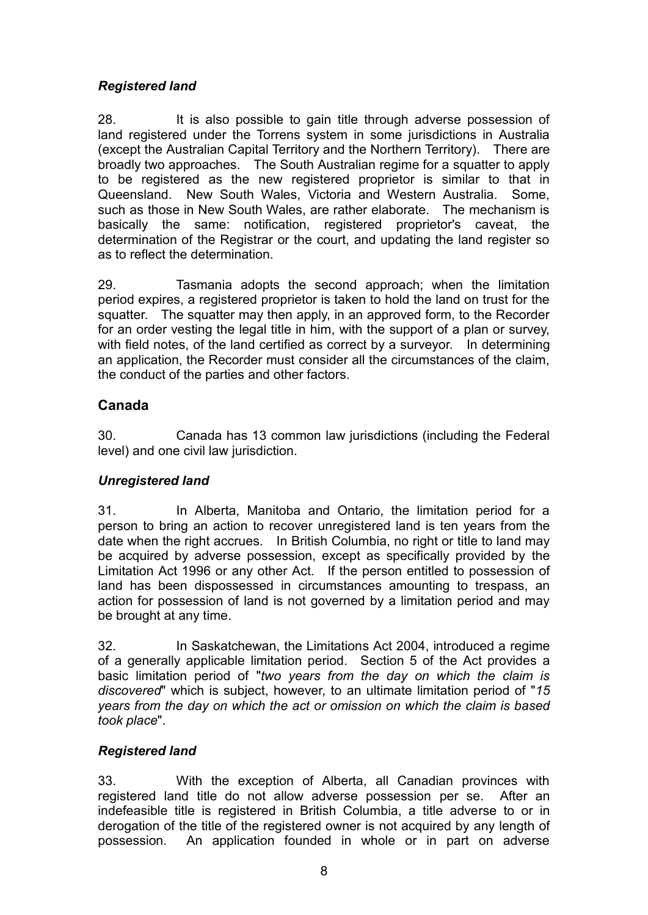## *Registered land*

28. It is also possible to gain title through adverse possession of land registered under the Torrens system in some jurisdictions in Australia (except the Australian Capital Territory and the Northern Territory). There are broadly two approaches. The South Australian regime for a squatter to apply to be registered as the new registered proprietor is similar to that in Queensland. New South Wales, Victoria and Western Australia. Some, such as those in New South Wales, are rather elaborate. The mechanism is basically the same: notification, registered proprietor's caveat, the determination of the Registrar or the court, and updating the land register so as to reflect the determination.

29. Tasmania adopts the second approach; when the limitation period expires, a registered proprietor is taken to hold the land on trust for the squatter. The squatter may then apply, in an approved form, to the Recorder for an order vesting the legal title in him, with the support of a plan or survey, with field notes, of the land certified as correct by a surveyor. In determining an application, the Recorder must consider all the circumstances of the claim, the conduct of the parties and other factors.

## **Canada**

30. Canada has 13 common law jurisdictions (including the Federal level) and one civil law jurisdiction.

## *Unregistered land*

31. In Alberta, Manitoba and Ontario, the limitation period for a person to bring an action to recover unregistered land is ten years from the date when the right accrues. In British Columbia, no right or title to land may be acquired by adverse possession, except as specifically provided by the Limitation Act 1996 or any other Act. If the person entitled to possession of land has been dispossessed in circumstances amounting to trespass, an action for possession of land is not governed by a limitation period and may be brought at any time.

32. In Saskatchewan, the Limitations Act 2004, introduced a regime of a generally applicable limitation period. Section 5 of the Act provides a basic limitation period of "*two years from the day on which the claim is discovered*" which is subject, however, to an ultimate limitation period of "*15 years from the day on which the act or omission on which the claim is based took place*".

## *Registered land*

33. With the exception of Alberta, all Canadian provinces with registered land title do not allow adverse possession per se. After an indefeasible title is registered in British Columbia, a title adverse to or in derogation of the title of the registered owner is not acquired by any length of possession. An application founded in whole or in part on adverse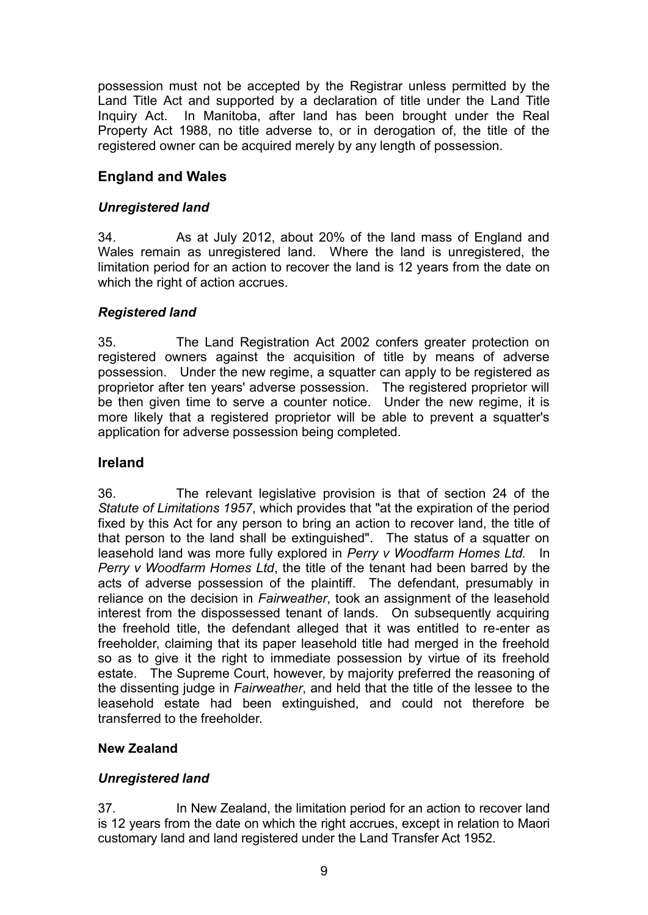possession must not be accepted by the Registrar unless permitted by the Land Title Act and supported by a declaration of title under the Land Title Inquiry Act. In Manitoba, after land has been brought under the Real Property Act 1988, no title adverse to, or in derogation of, the title of the registered owner can be acquired merely by any length of possession.

## **England and Wales**

## *Unregistered land*

34. As at July 2012, about 20% of the land mass of England and Wales remain as unregistered land. Where the land is unregistered, the limitation period for an action to recover the land is 12 years from the date on which the right of action accrues.

## *Registered land*

35. The Land Registration Act 2002 confers greater protection on registered owners against the acquisition of title by means of adverse possession. Under the new regime, a squatter can apply to be registered as proprietor after ten years' adverse possession. The registered proprietor will be then given time to serve a counter notice. Under the new regime, it is more likely that a registered proprietor will be able to prevent a squatter's application for adverse possession being completed.

## **Ireland**

36. The relevant legislative provision is that of section 24 of the *Statute of Limitations 1957*, which provides that "at the expiration of the period fixed by this Act for any person to bring an action to recover land, the title of that person to the land shall be extinguished". The status of a squatter on leasehold land was more fully explored in *Perry v Woodfarm Homes Ltd.* In *Perry v Woodfarm Homes Ltd*, the title of the tenant had been barred by the acts of adverse possession of the plaintiff. The defendant, presumably in reliance on the decision in *Fairweather*, took an assignment of the leasehold interest from the dispossessed tenant of lands. On subsequently acquiring the freehold title, the defendant alleged that it was entitled to re-enter as freeholder, claiming that its paper leasehold title had merged in the freehold so as to give it the right to immediate possession by virtue of its freehold estate. The Supreme Court, however, by majority preferred the reasoning of the dissenting judge in *Fairweather*, and held that the title of the lessee to the leasehold estate had been extinguished, and could not therefore be transferred to the freeholder.

## **New Zealand**

## *Unregistered land*

37. In New Zealand, the limitation period for an action to recover land is 12 years from the date on which the right accrues, except in relation to Maori customary land and land registered under the Land Transfer Act 1952.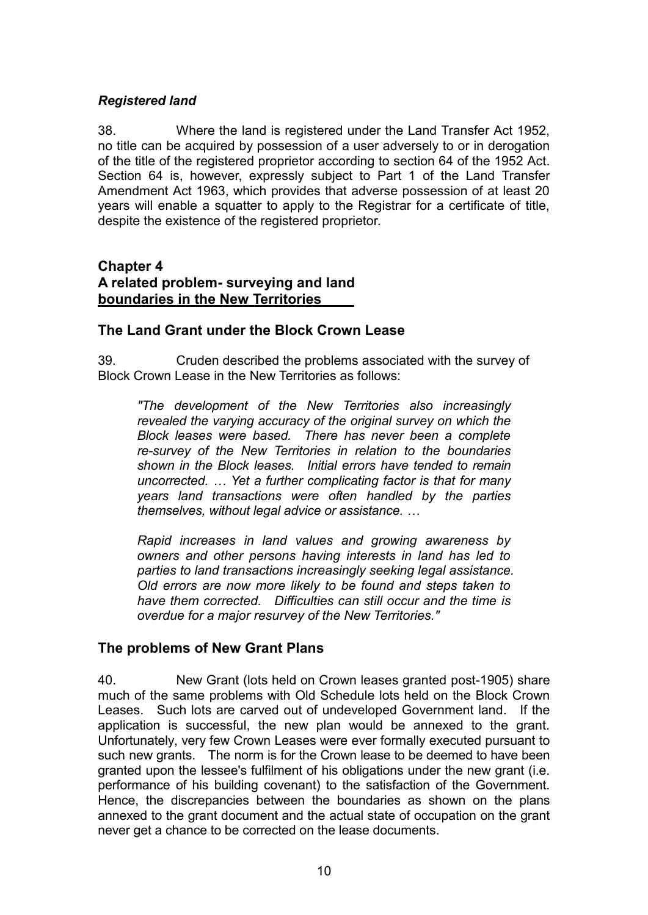#### *Registered land*

38. Where the land is registered under the Land Transfer Act 1952, no title can be acquired by possession of a user adversely to or in derogation of the title of the registered proprietor according to section 64 of the 1952 Act. Section 64 is, however, expressly subject to Part 1 of the Land Transfer Amendment Act 1963, which provides that adverse possession of at least 20 years will enable a squatter to apply to the Registrar for a certificate of title, despite the existence of the registered proprietor.

#### **Chapter 4 A related problem- surveying and land boundaries in the New Territories**

#### **The Land Grant under the Block Crown Lease**

39. Cruden described the problems associated with the survey of Block Crown Lease in the New Territories as follows:

*"The development of the New Territories also increasingly revealed the varying accuracy of the original survey on which the Block leases were based. There has never been a complete re-survey of the New Territories in relation to the boundaries shown in the Block leases. Initial errors have tended to remain uncorrected. … Yet a further complicating factor is that for many years land transactions were often handled by the parties themselves, without legal advice or assistance. …* 

*Rapid increases in land values and growing awareness by owners and other persons having interests in land has led to parties to land transactions increasingly seeking legal assistance. Old errors are now more likely to be found and steps taken to have them corrected. Difficulties can still occur and the time is overdue for a major resurvey of the New Territories."* 

## **The problems of New Grant Plans**

40. New Grant (lots held on Crown leases granted post-1905) share much of the same problems with Old Schedule lots held on the Block Crown Leases. Such lots are carved out of undeveloped Government land. If the application is successful, the new plan would be annexed to the grant. Unfortunately, very few Crown Leases were ever formally executed pursuant to such new grants. The norm is for the Crown lease to be deemed to have been granted upon the lessee's fulfilment of his obligations under the new grant (i.e. performance of his building covenant) to the satisfaction of the Government. Hence, the discrepancies between the boundaries as shown on the plans annexed to the grant document and the actual state of occupation on the grant never get a chance to be corrected on the lease documents.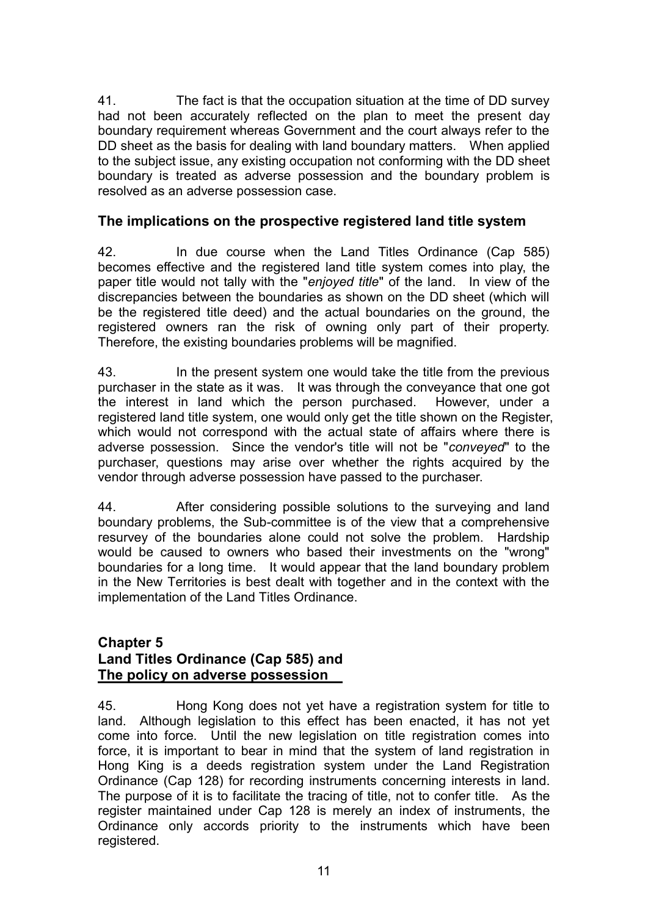41. The fact is that the occupation situation at the time of DD survey had not been accurately reflected on the plan to meet the present day boundary requirement whereas Government and the court always refer to the DD sheet as the basis for dealing with land boundary matters. When applied to the subject issue, any existing occupation not conforming with the DD sheet boundary is treated as adverse possession and the boundary problem is resolved as an adverse possession case.

## **The implications on the prospective registered land title system**

42. In due course when the Land Titles Ordinance (Cap 585) becomes effective and the registered land title system comes into play, the paper title would not tally with the "*enjoyed title*" of the land. In view of the discrepancies between the boundaries as shown on the DD sheet (which will be the registered title deed) and the actual boundaries on the ground, the registered owners ran the risk of owning only part of their property. Therefore, the existing boundaries problems will be magnified.

43. In the present system one would take the title from the previous purchaser in the state as it was. It was through the conveyance that one got the interest in land which the person purchased. However, under a registered land title system, one would only get the title shown on the Register, which would not correspond with the actual state of affairs where there is adverse possession. Since the vendor's title will not be "*conveyed*" to the purchaser, questions may arise over whether the rights acquired by the vendor through adverse possession have passed to the purchaser.

44. After considering possible solutions to the surveying and land boundary problems, the Sub-committee is of the view that a comprehensive resurvey of the boundaries alone could not solve the problem. Hardship would be caused to owners who based their investments on the "wrong" boundaries for a long time. It would appear that the land boundary problem in the New Territories is best dealt with together and in the context with the implementation of the Land Titles Ordinance.

## **Chapter 5 Land Titles Ordinance (Cap 585) and The policy on adverse possession**

45. Hong Kong does not yet have a registration system for title to land. Although legislation to this effect has been enacted, it has not yet come into force. Until the new legislation on title registration comes into force, it is important to bear in mind that the system of land registration in Hong King is a deeds registration system under the Land Registration Ordinance (Cap 128) for recording instruments concerning interests in land. The purpose of it is to facilitate the tracing of title, not to confer title. As the register maintained under Cap 128 is merely an index of instruments, the Ordinance only accords priority to the instruments which have been registered.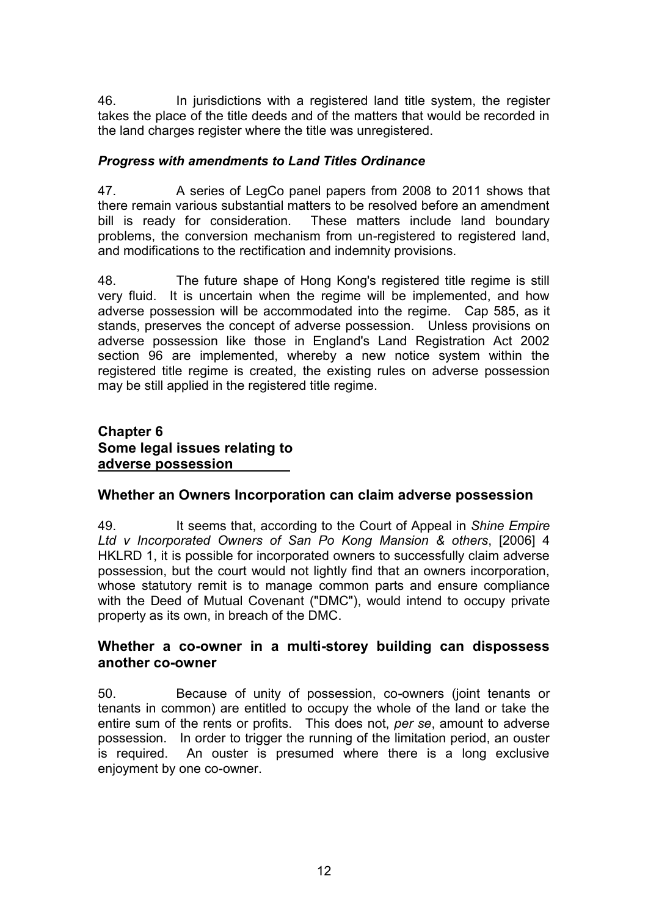46. In jurisdictions with a registered land title system, the register takes the place of the title deeds and of the matters that would be recorded in the land charges register where the title was unregistered.

## *Progress with amendments to Land Titles Ordinance*

47. A series of LegCo panel papers from 2008 to 2011 shows that there remain various substantial matters to be resolved before an amendment<br>bill is ready for consideration. These matters include land boundary These matters include land boundary problems, the conversion mechanism from un-registered to registered land, and modifications to the rectification and indemnity provisions.

48. The future shape of Hong Kong's registered title regime is still very fluid. It is uncertain when the regime will be implemented, and how adverse possession will be accommodated into the regime. Cap 585, as it stands, preserves the concept of adverse possession. Unless provisions on adverse possession like those in England's Land Registration Act 2002 section 96 are implemented, whereby a new notice system within the registered title regime is created, the existing rules on adverse possession may be still applied in the registered title regime.

## **Chapter 6 Some legal issues relating to adverse possession**

## **Whether an Owners Incorporation can claim adverse possession**

49. It seems that, according to the Court of Appeal in *Shine Empire Ltd v Incorporated Owners of San Po Kong Mansion & others*, [2006] 4 HKLRD 1, it is possible for incorporated owners to successfully claim adverse possession, but the court would not lightly find that an owners incorporation, whose statutory remit is to manage common parts and ensure compliance with the Deed of Mutual Covenant ("DMC"), would intend to occupy private property as its own, in breach of the DMC.

## **Whether a co-owner in a multi-storey building can dispossess another co-owner**

50. Because of unity of possession, co-owners (joint tenants or tenants in common) are entitled to occupy the whole of the land or take the entire sum of the rents or profits. This does not, *per se*, amount to adverse possession. In order to trigger the running of the limitation period, an ouster is required. An ouster is presumed where there is a long exclusive enjoyment by one co-owner.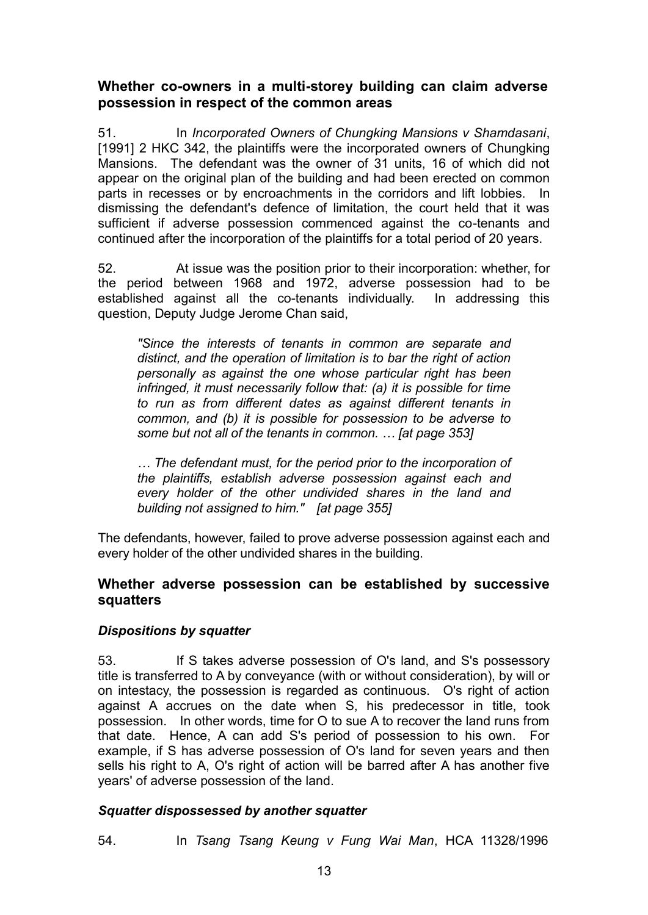## **Whether co-owners in a multi-storey building can claim adverse possession in respect of the common areas**

51. In *Incorporated Owners of Chungking Mansions v Shamdasani*, [1991] 2 HKC 342, the plaintiffs were the incorporated owners of Chungking Mansions. The defendant was the owner of 31 units, 16 of which did not appear on the original plan of the building and had been erected on common parts in recesses or by encroachments in the corridors and lift lobbies. In dismissing the defendant's defence of limitation, the court held that it was sufficient if adverse possession commenced against the co-tenants and continued after the incorporation of the plaintiffs for a total period of 20 years.

52. At issue was the position prior to their incorporation: whether, for the period between 1968 and 1972, adverse possession had to be established against all the co-tenants individually. In addressing this question, Deputy Judge Jerome Chan said,

*"Since the interests of tenants in common are separate and distinct, and the operation of limitation is to bar the right of action personally as against the one whose particular right has been infringed, it must necessarily follow that: (a) it is possible for time to run as from different dates as against different tenants in common, and (b) it is possible for possession to be adverse to some but not all of the tenants in common. … [at page 353]* 

*… The defendant must, for the period prior to the incorporation of the plaintiffs, establish adverse possession against each and every holder of the other undivided shares in the land and building not assigned to him." [at page 355]* 

The defendants, however, failed to prove adverse possession against each and every holder of the other undivided shares in the building.

## **Whether adverse possession can be established by successive squatters**

## *Dispositions by squatter*

53. If S takes adverse possession of O's land, and S's possessory title is transferred to A by conveyance (with or without consideration), by will or on intestacy, the possession is regarded as continuous. O's right of action against A accrues on the date when S, his predecessor in title, took possession. In other words, time for O to sue A to recover the land runs from that date. Hence, A can add S's period of possession to his own. For example, if S has adverse possession of O's land for seven years and then sells his right to A, O's right of action will be barred after A has another five years' of adverse possession of the land.

#### *Squatter dispossessed by another squatter*

54. In *Tsang Tsang Keung v Fung Wai Man*, HCA 11328/1996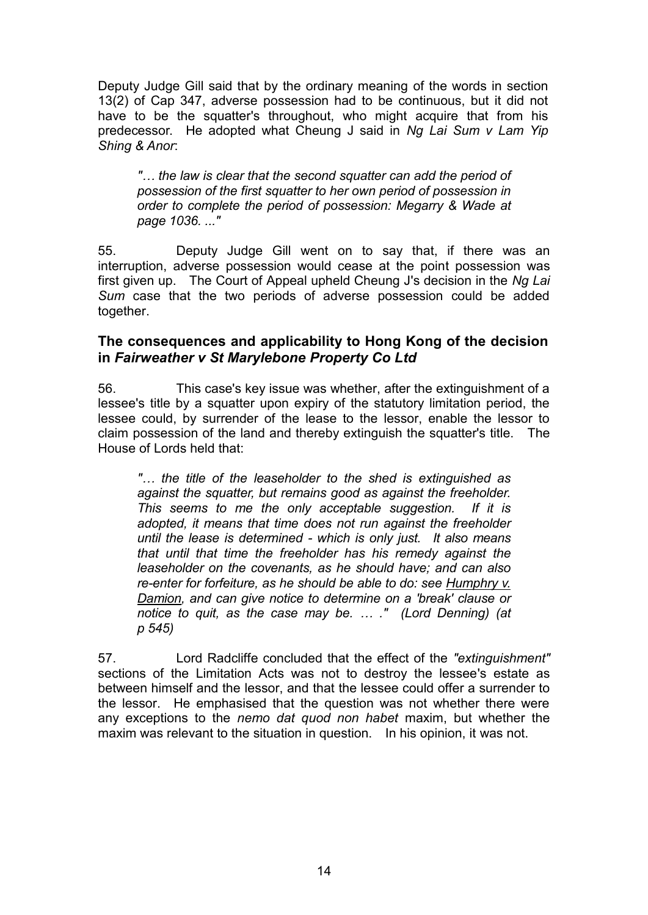Deputy Judge Gill said that by the ordinary meaning of the words in section 13(2) of Cap 347, adverse possession had to be continuous, but it did not have to be the squatter's throughout, who might acquire that from his predecessor. He adopted what Cheung J said in *Ng Lai Sum v Lam Yip Shing & Anor*:

*"… the law is clear that the second squatter can add the period of possession of the first squatter to her own period of possession in order to complete the period of possession: Megarry & Wade at page 1036. ..."* 

55. Deputy Judge Gill went on to say that, if there was an interruption, adverse possession would cease at the point possession was first given up. The Court of Appeal upheld Cheung J's decision in the *Ng Lai Sum* case that the two periods of adverse possession could be added together.

## **The consequences and applicability to Hong Kong of the decision in** *Fairweather v St Marylebone Property Co Ltd*

56. This case's key issue was whether, after the extinguishment of a lessee's title by a squatter upon expiry of the statutory limitation period, the lessee could, by surrender of the lease to the lessor, enable the lessor to claim possession of the land and thereby extinguish the squatter's title. The House of Lords held that:

*"… the title of the leaseholder to the shed is extinguished as against the squatter, but remains good as against the freeholder. This seems to me the only acceptable suggestion. If it is adopted, it means that time does not run against the freeholder until the lease is determined - which is only just. It also means that until that time the freeholder has his remedy against the leaseholder on the covenants, as he should have; and can also re-enter for forfeiture, as he should be able to do: see Humphry v. Damion, and can give notice to determine on a 'break' clause or notice to quit, as the case may be. … ." (Lord Denning) (at p 545)*

57. Lord Radcliffe concluded that the effect of the *"extinguishment"* sections of the Limitation Acts was not to destroy the lessee's estate as between himself and the lessor, and that the lessee could offer a surrender to the lessor. He emphasised that the question was not whether there were any exceptions to the *nemo dat quod non habet* maxim, but whether the maxim was relevant to the situation in question. In his opinion, it was not.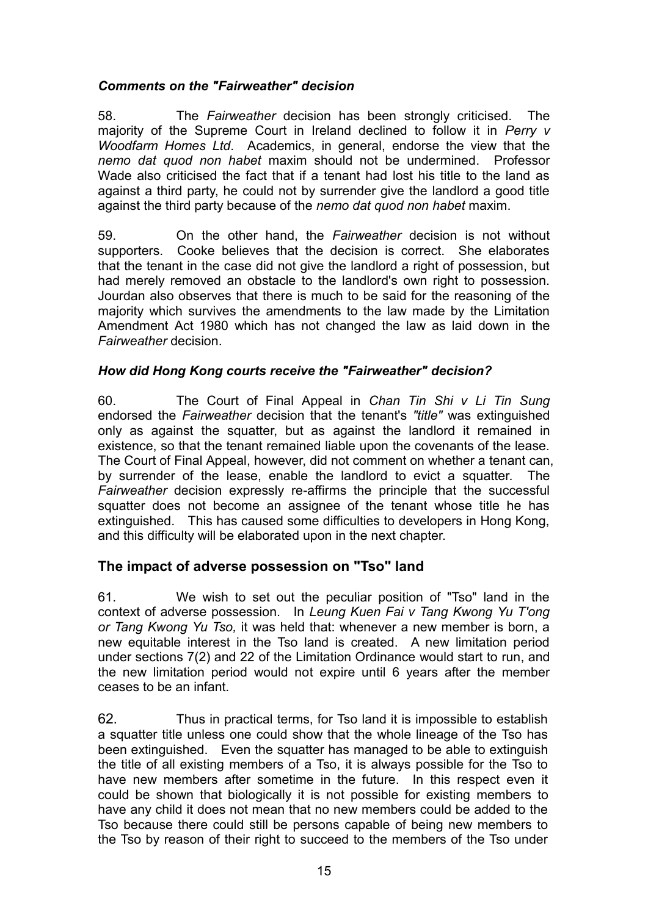#### *Comments on the "Fairweather" decision*

58. The *Fairweather* decision has been strongly criticised. The majority of the Supreme Court in Ireland declined to follow it in *Perry v Woodfarm Homes Ltd*. Academics, in general, endorse the view that the *nemo dat quod non habet* maxim should not be undermined. Professor Wade also criticised the fact that if a tenant had lost his title to the land as against a third party, he could not by surrender give the landlord a good title against the third party because of the *nemo dat quod non habet* maxim.

59. On the other hand, the *Fairweather* decision is not without supporters. Cooke believes that the decision is correct. She elaborates that the tenant in the case did not give the landlord a right of possession, but had merely removed an obstacle to the landlord's own right to possession. Jourdan also observes that there is much to be said for the reasoning of the majority which survives the amendments to the law made by the Limitation Amendment Act 1980 which has not changed the law as laid down in the *Fairweather* decision.

#### *How did Hong Kong courts receive the "Fairweather" decision?*

60. The Court of Final Appeal in *Chan Tin Shi v Li Tin Sung*  endorsed the *Fairweather* decision that the tenant's *"title"* was extinguished only as against the squatter, but as against the landlord it remained in existence, so that the tenant remained liable upon the covenants of the lease. The Court of Final Appeal, however, did not comment on whether a tenant can, by surrender of the lease, enable the landlord to evict a squatter. The *Fairweather* decision expressly re-affirms the principle that the successful squatter does not become an assignee of the tenant whose title he has extinguished. This has caused some difficulties to developers in Hong Kong, and this difficulty will be elaborated upon in the next chapter.

## **The impact of adverse possession on "Tso" land**

61. We wish to set out the peculiar position of "Tso" land in the context of adverse possession. In *Leung Kuen Fai v Tang Kwong Yu T'ong or Tang Kwong Yu Tso,* it was held that: whenever a new member is born, a new equitable interest in the Tso land is created. A new limitation period under sections 7(2) and 22 of the Limitation Ordinance would start to run, and the new limitation period would not expire until 6 years after the member ceases to be an infant.

62. Thus in practical terms, for Tso land it is impossible to establish a squatter title unless one could show that the whole lineage of the Tso has been extinguished. Even the squatter has managed to be able to extinguish the title of all existing members of a Tso, it is always possible for the Tso to have new members after sometime in the future. In this respect even it could be shown that biologically it is not possible for existing members to have any child it does not mean that no new members could be added to the Tso because there could still be persons capable of being new members to the Tso by reason of their right to succeed to the members of the Tso under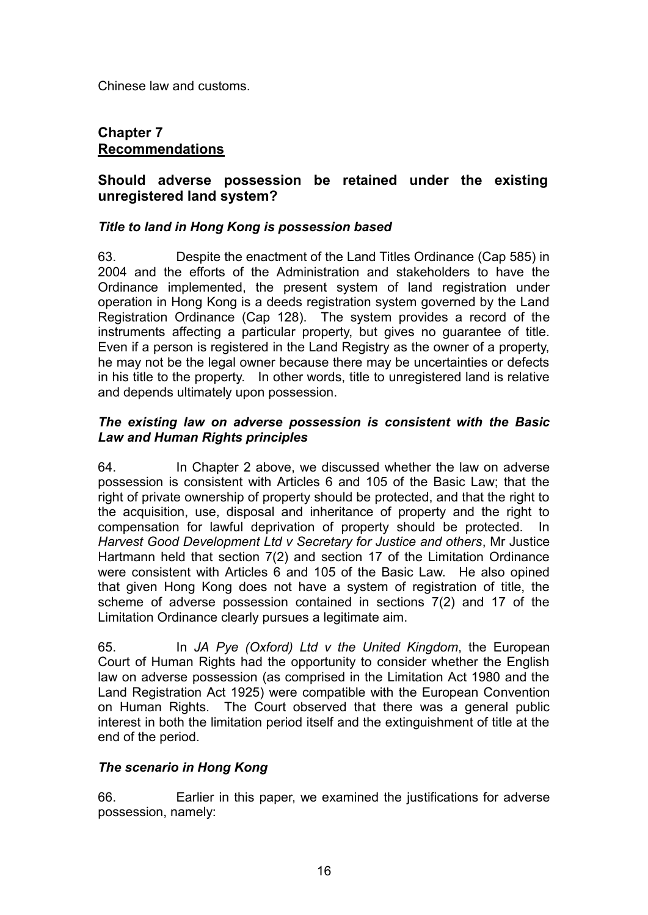Chinese law and customs.

## **Chapter 7 Recommendations**

## **Should adverse possession be retained under the existing unregistered land system?**

#### *Title to land in Hong Kong is possession based*

63. Despite the enactment of the Land Titles Ordinance (Cap 585) in 2004 and the efforts of the Administration and stakeholders to have the Ordinance implemented, the present system of land registration under operation in Hong Kong is a deeds registration system governed by the Land Registration Ordinance (Cap 128). The system provides a record of the instruments affecting a particular property, but gives no guarantee of title. Even if a person is registered in the Land Registry as the owner of a property, he may not be the legal owner because there may be uncertainties or defects in his title to the property. In other words, title to unregistered land is relative and depends ultimately upon possession.

#### *The existing law on adverse possession is consistent with the Basic Law and Human Rights principles*

64. In Chapter 2 above, we discussed whether the law on adverse possession is consistent with Articles 6 and 105 of the Basic Law; that the right of private ownership of property should be protected, and that the right to the acquisition, use, disposal and inheritance of property and the right to compensation for lawful deprivation of property should be protected. In *Harvest Good Development Ltd v Secretary for Justice and others*, Mr Justice Hartmann held that section 7(2) and section 17 of the Limitation Ordinance were consistent with Articles 6 and 105 of the Basic Law. He also opined that given Hong Kong does not have a system of registration of title, the scheme of adverse possession contained in sections 7(2) and 17 of the Limitation Ordinance clearly pursues a legitimate aim.

65. In *JA Pye (Oxford) Ltd v the United Kingdom*, the European Court of Human Rights had the opportunity to consider whether the English law on adverse possession (as comprised in the Limitation Act 1980 and the Land Registration Act 1925) were compatible with the European Convention on Human Rights. The Court observed that there was a general public interest in both the limitation period itself and the extinguishment of title at the end of the period.

## *The scenario in Hong Kong*

66. Earlier in this paper, we examined the justifications for adverse possession, namely: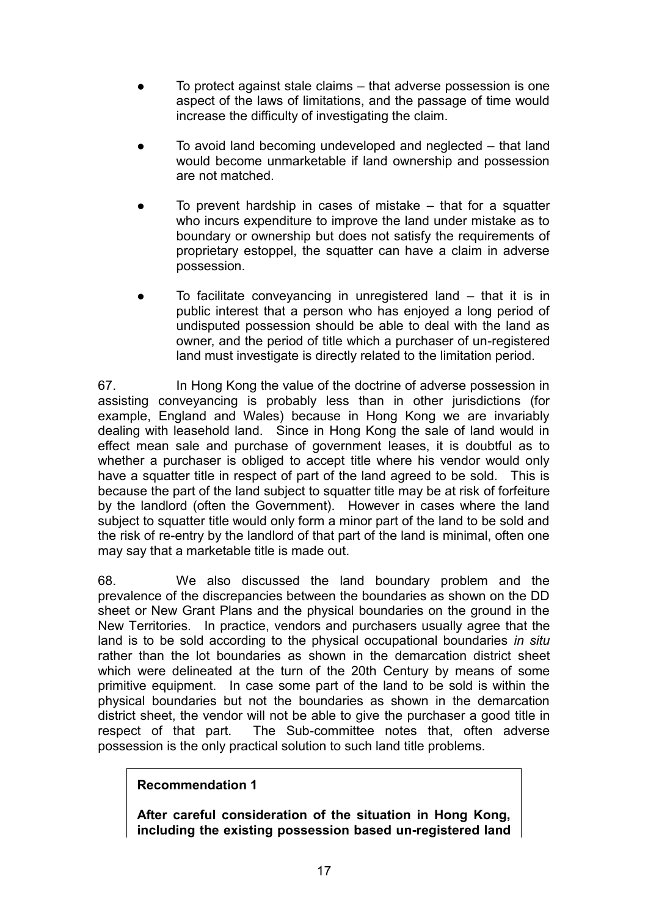- To protect against stale claims that adverse possession is one aspect of the laws of limitations, and the passage of time would increase the difficulty of investigating the claim.
- To avoid land becoming undeveloped and neglected that land would become unmarketable if land ownership and possession are not matched.
- To prevent hardship in cases of mistake that for a squatter who incurs expenditure to improve the land under mistake as to boundary or ownership but does not satisfy the requirements of proprietary estoppel, the squatter can have a claim in adverse possession.
- To facilitate conveyancing in unregistered land that it is in public interest that a person who has enjoyed a long period of undisputed possession should be able to deal with the land as owner, and the period of title which a purchaser of un-registered land must investigate is directly related to the limitation period.

67. In Hong Kong the value of the doctrine of adverse possession in assisting conveyancing is probably less than in other jurisdictions (for example, England and Wales) because in Hong Kong we are invariably dealing with leasehold land. Since in Hong Kong the sale of land would in effect mean sale and purchase of government leases, it is doubtful as to whether a purchaser is obliged to accept title where his vendor would only have a squatter title in respect of part of the land agreed to be sold. This is because the part of the land subject to squatter title may be at risk of forfeiture by the landlord (often the Government). However in cases where the land subject to squatter title would only form a minor part of the land to be sold and the risk of re-entry by the landlord of that part of the land is minimal, often one may say that a marketable title is made out.

68. We also discussed the land boundary problem and the prevalence of the discrepancies between the boundaries as shown on the DD sheet or New Grant Plans and the physical boundaries on the ground in the New Territories. In practice, vendors and purchasers usually agree that the land is to be sold according to the physical occupational boundaries *in situ* rather than the lot boundaries as shown in the demarcation district sheet which were delineated at the turn of the 20th Century by means of some primitive equipment. In case some part of the land to be sold is within the physical boundaries but not the boundaries as shown in the demarcation district sheet, the vendor will not be able to give the purchaser a good title in respect of that part. The Sub-committee notes that, often adverse The Sub-committee notes that, often adverse possession is the only practical solution to such land title problems.

## **Recommendation 1**

**After careful consideration of the situation in Hong Kong, including the existing possession based un-registered land**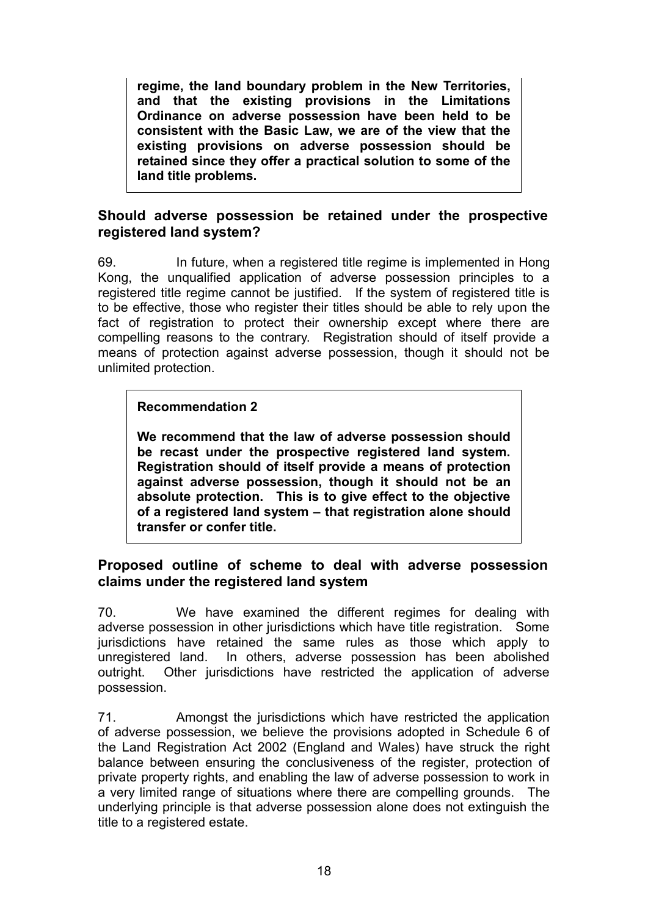**regime, the land boundary problem in the New Territories, and that the existing provisions in the Limitations Ordinance on adverse possession have been held to be consistent with the Basic Law, we are of the view that the existing provisions on adverse possession should be retained since they offer a practical solution to some of the land title problems.** 

## **Should adverse possession be retained under the prospective registered land system?**

69. In future, when a registered title regime is implemented in Hong Kong, the unqualified application of adverse possession principles to a registered title regime cannot be justified. If the system of registered title is to be effective, those who register their titles should be able to rely upon the fact of registration to protect their ownership except where there are compelling reasons to the contrary. Registration should of itself provide a means of protection against adverse possession, though it should not be unlimited protection.

## **Recommendation 2**

**We recommend that the law of adverse possession should be recast under the prospective registered land system. Registration should of itself provide a means of protection against adverse possession, though it should not be an absolute protection. This is to give effect to the objective of a registered land system – that registration alone should transfer or confer title.** 

## **Proposed outline of scheme to deal with adverse possession claims under the registered land system**

70. We have examined the different regimes for dealing with adverse possession in other jurisdictions which have title registration. Some jurisdictions have retained the same rules as those which apply to unregistered land. In others, adverse possession has been abolished outright. Other jurisdictions have restricted the application of adverse possession.

71. Amongst the jurisdictions which have restricted the application of adverse possession, we believe the provisions adopted in Schedule 6 of the Land Registration Act 2002 (England and Wales) have struck the right balance between ensuring the conclusiveness of the register, protection of private property rights, and enabling the law of adverse possession to work in a very limited range of situations where there are compelling grounds. The underlying principle is that adverse possession alone does not extinguish the title to a registered estate.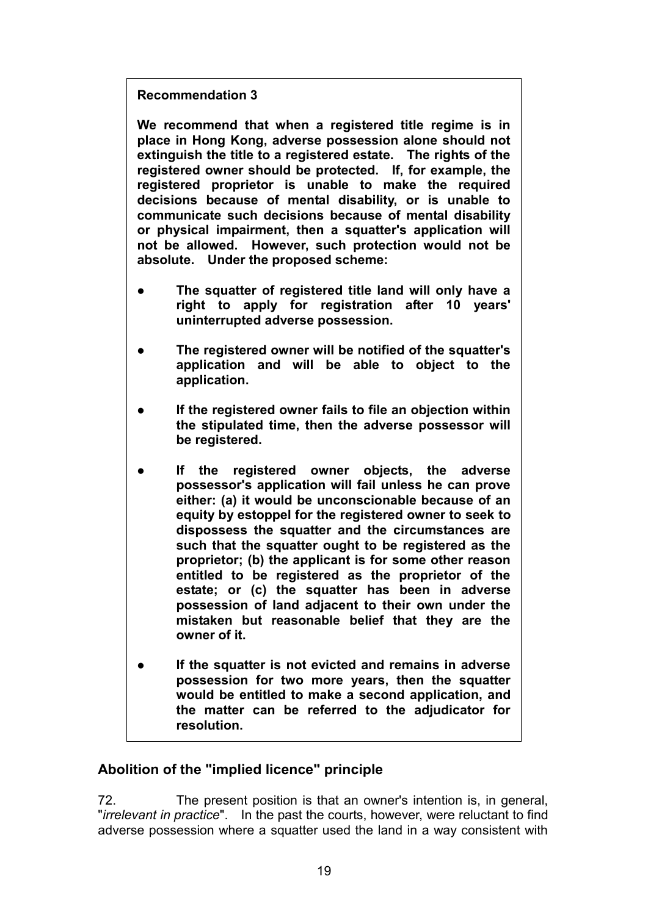## **Recommendation 3**

**We recommend that when a registered title regime is in place in Hong Kong, adverse possession alone should not extinguish the title to a registered estate. The rights of the registered owner should be protected. If, for example, the registered proprietor is unable to make the required decisions because of mental disability, or is unable to communicate such decisions because of mental disability or physical impairment, then a squatter's application will not be allowed. However, such protection would not be absolute. Under the proposed scheme:** 

- **The squatter of registered title land will only have a right to apply for registration after 10 years' uninterrupted adverse possession.**
- **The registered owner will be notified of the squatter's application and will be able to object to the application.**
- **If the registered owner fails to file an objection within the stipulated time, then the adverse possessor will be registered.**
- **If the registered owner objects, the adverse possessor's application will fail unless he can prove either: (a) it would be unconscionable because of an equity by estoppel for the registered owner to seek to dispossess the squatter and the circumstances are such that the squatter ought to be registered as the proprietor; (b) the applicant is for some other reason entitled to be registered as the proprietor of the estate; or (c) the squatter has been in adverse possession of land adjacent to their own under the mistaken but reasonable belief that they are the owner of it.**
- **If the squatter is not evicted and remains in adverse possession for two more years, then the squatter would be entitled to make a second application, and the matter can be referred to the adjudicator for resolution.**

## **Abolition of the "implied licence" principle**

72. The present position is that an owner's intention is, in general, "*irrelevant in practice*". In the past the courts, however, were reluctant to find adverse possession where a squatter used the land in a way consistent with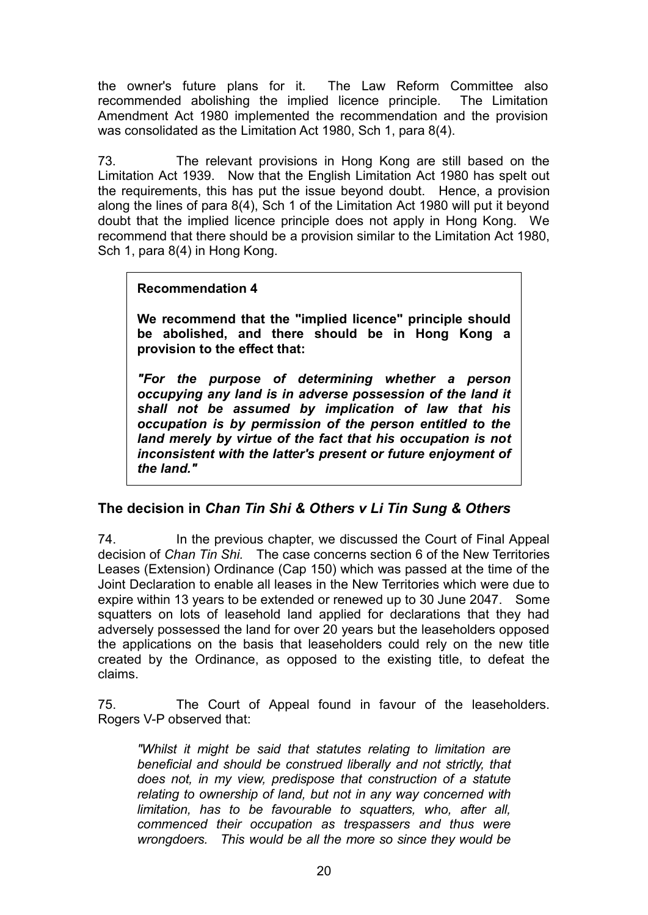the owner's future plans for it. The Law Reform Committee also recommended abolishing the implied licence principle. The Limitation Amendment Act 1980 implemented the recommendation and the provision was consolidated as the Limitation Act 1980, Sch 1, para 8(4).

73. The relevant provisions in Hong Kong are still based on the Limitation Act 1939. Now that the English Limitation Act 1980 has spelt out the requirements, this has put the issue beyond doubt. Hence, a provision along the lines of para 8(4), Sch 1 of the Limitation Act 1980 will put it beyond doubt that the implied licence principle does not apply in Hong Kong. We recommend that there should be a provision similar to the Limitation Act 1980, Sch 1, para 8(4) in Hong Kong.

#### **Recommendation 4**

**We recommend that the "implied licence" principle should be abolished, and there should be in Hong Kong a provision to the effect that:** 

*"For the purpose of determining whether a person occupying any land is in adverse possession of the land it shall not be assumed by implication of law that his occupation is by permission of the person entitled to the land merely by virtue of the fact that his occupation is not inconsistent with the latter's present or future enjoyment of the land."* 

## **The decision in** *Chan Tin Shi & Others v Li Tin Sung & Others*

74. In the previous chapter, we discussed the Court of Final Appeal decision of *Chan Tin Shi.* The case concerns section 6 of the New Territories Leases (Extension) Ordinance (Cap 150) which was passed at the time of the Joint Declaration to enable all leases in the New Territories which were due to expire within 13 years to be extended or renewed up to 30 June 2047. Some squatters on lots of leasehold land applied for declarations that they had adversely possessed the land for over 20 years but the leaseholders opposed the applications on the basis that leaseholders could rely on the new title created by the Ordinance, as opposed to the existing title, to defeat the claims.

75. The Court of Appeal found in favour of the leaseholders. Rogers V-P observed that:

*"Whilst it might be said that statutes relating to limitation are beneficial and should be construed liberally and not strictly, that does not, in my view, predispose that construction of a statute relating to ownership of land, but not in any way concerned with limitation, has to be favourable to squatters, who, after all, commenced their occupation as trespassers and thus were wrongdoers. This would be all the more so since they would be*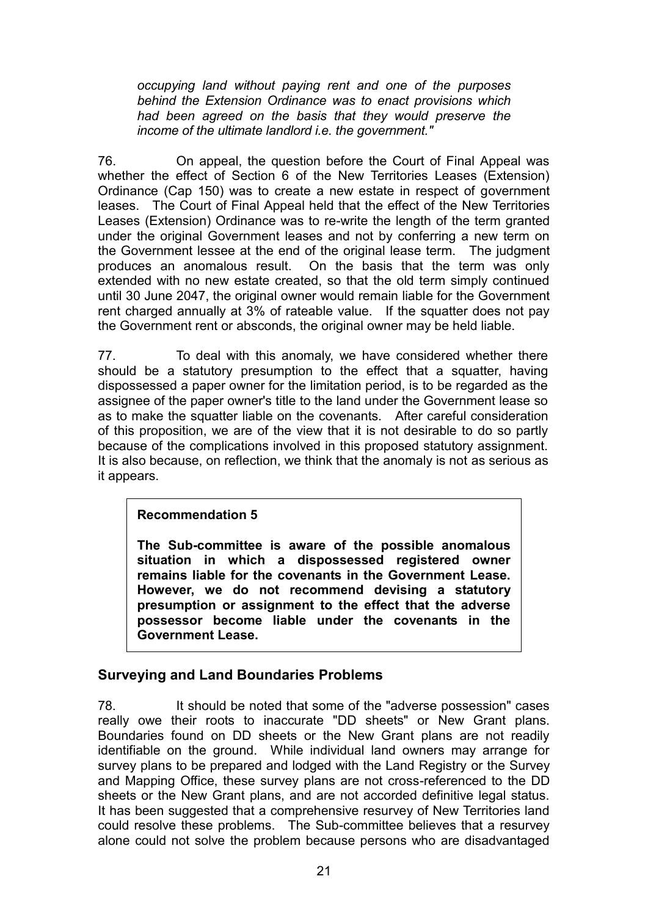*occupying land without paying rent and one of the purposes behind the Extension Ordinance was to enact provisions which had been agreed on the basis that they would preserve the income of the ultimate landlord i.e. the government."*

76. On appeal, the question before the Court of Final Appeal was whether the effect of Section 6 of the New Territories Leases (Extension) Ordinance (Cap 150) was to create a new estate in respect of government leases. The Court of Final Appeal held that the effect of the New Territories Leases (Extension) Ordinance was to re-write the length of the term granted under the original Government leases and not by conferring a new term on the Government lessee at the end of the original lease term. The judgment produces an anomalous result. On the basis that the term was only extended with no new estate created, so that the old term simply continued until 30 June 2047, the original owner would remain liable for the Government rent charged annually at 3% of rateable value. If the squatter does not pay the Government rent or absconds, the original owner may be held liable.

77. To deal with this anomaly, we have considered whether there should be a statutory presumption to the effect that a squatter, having dispossessed a paper owner for the limitation period, is to be regarded as the assignee of the paper owner's title to the land under the Government lease so as to make the squatter liable on the covenants. After careful consideration of this proposition, we are of the view that it is not desirable to do so partly because of the complications involved in this proposed statutory assignment. It is also because, on reflection, we think that the anomaly is not as serious as it appears.

## **Recommendation 5**

**The Sub-committee is aware of the possible anomalous situation in which a dispossessed registered owner remains liable for the covenants in the Government Lease. However, we do not recommend devising a statutory presumption or assignment to the effect that the adverse possessor become liable under the covenants in the Government Lease.** 

## **Surveying and Land Boundaries Problems**

78. It should be noted that some of the "adverse possession" cases really owe their roots to inaccurate "DD sheets" or New Grant plans. Boundaries found on DD sheets or the New Grant plans are not readily identifiable on the ground. While individual land owners may arrange for survey plans to be prepared and lodged with the Land Registry or the Survey and Mapping Office, these survey plans are not cross-referenced to the DD sheets or the New Grant plans, and are not accorded definitive legal status. It has been suggested that a comprehensive resurvey of New Territories land could resolve these problems. The Sub-committee believes that a resurvey alone could not solve the problem because persons who are disadvantaged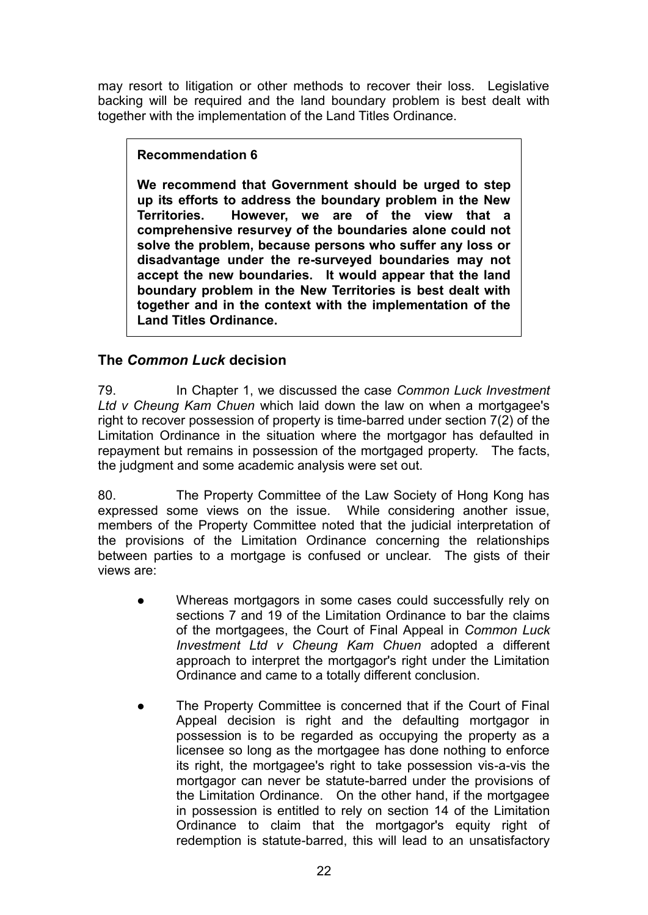may resort to litigation or other methods to recover their loss. Legislative backing will be required and the land boundary problem is best dealt with together with the implementation of the Land Titles Ordinance.

## **Recommendation 6**

**We recommend that Government should be urged to step up its efforts to address the boundary problem in the New Territories. However, we are of the view that a comprehensive resurvey of the boundaries alone could not solve the problem, because persons who suffer any loss or disadvantage under the re-surveyed boundaries may not accept the new boundaries. It would appear that the land boundary problem in the New Territories is best dealt with together and in the context with the implementation of the Land Titles Ordinance.** 

## **The** *Common Luck* **decision**

79. In Chapter 1, we discussed the case *Common Luck Investment Ltd v Cheung Kam Chuen* which laid down the law on when a mortgagee's right to recover possession of property is time-barred under section 7(2) of the Limitation Ordinance in the situation where the mortgagor has defaulted in repayment but remains in possession of the mortgaged property. The facts, the judgment and some academic analysis were set out.

80. The Property Committee of the Law Society of Hong Kong has expressed some views on the issue. While considering another issue, members of the Property Committee noted that the judicial interpretation of the provisions of the Limitation Ordinance concerning the relationships between parties to a mortgage is confused or unclear. The gists of their views are:

- Whereas mortgagors in some cases could successfully rely on sections 7 and 19 of the Limitation Ordinance to bar the claims of the mortgagees, the Court of Final Appeal in *Common Luck Investment Ltd v Cheung Kam Chuen* adopted a different approach to interpret the mortgagor's right under the Limitation Ordinance and came to a totally different conclusion.
- The Property Committee is concerned that if the Court of Final Appeal decision is right and the defaulting mortgagor in possession is to be regarded as occupying the property as a licensee so long as the mortgagee has done nothing to enforce its right, the mortgagee's right to take possession vis-a-vis the mortgagor can never be statute-barred under the provisions of the Limitation Ordinance. On the other hand, if the mortgagee in possession is entitled to rely on section 14 of the Limitation Ordinance to claim that the mortgagor's equity right of redemption is statute-barred, this will lead to an unsatisfactory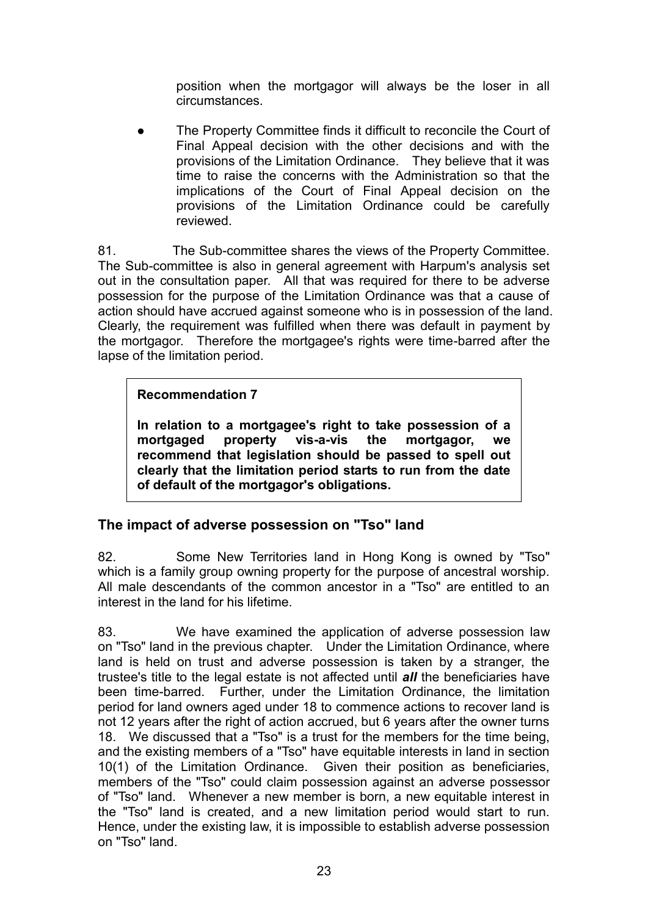position when the mortgagor will always be the loser in all circumstances.

 The Property Committee finds it difficult to reconcile the Court of Final Appeal decision with the other decisions and with the provisions of the Limitation Ordinance. They believe that it was time to raise the concerns with the Administration so that the implications of the Court of Final Appeal decision on the provisions of the Limitation Ordinance could be carefully reviewed.

81. The Sub-committee shares the views of the Property Committee. The Sub-committee is also in general agreement with Harpum's analysis set out in the consultation paper. All that was required for there to be adverse possession for the purpose of the Limitation Ordinance was that a cause of action should have accrued against someone who is in possession of the land. Clearly, the requirement was fulfilled when there was default in payment by the mortgagor. Therefore the mortgagee's rights were time-barred after the lapse of the limitation period.

## **Recommendation 7**

**In relation to a mortgagee's right to take possession of a mortgaged property vis-a-vis the mortgagor, we recommend that legislation should be passed to spell out clearly that the limitation period starts to run from the date of default of the mortgagor's obligations.** 

# **The impact of adverse possession on "Tso" land**

82. Some New Territories land in Hong Kong is owned by "Tso" which is a family group owning property for the purpose of ancestral worship. All male descendants of the common ancestor in a "Tso" are entitled to an interest in the land for his lifetime.

83. We have examined the application of adverse possession law on "Tso" land in the previous chapter. Under the Limitation Ordinance, where land is held on trust and adverse possession is taken by a stranger, the trustee's title to the legal estate is not affected until *all* the beneficiaries have been time-barred. Further, under the Limitation Ordinance, the limitation period for land owners aged under 18 to commence actions to recover land is not 12 years after the right of action accrued, but 6 years after the owner turns 18. We discussed that a "Tso" is a trust for the members for the time being, and the existing members of a "Tso" have equitable interests in land in section 10(1) of the Limitation Ordinance. Given their position as beneficiaries, members of the "Tso" could claim possession against an adverse possessor of "Tso" land. Whenever a new member is born, a new equitable interest in the "Tso" land is created, and a new limitation period would start to run. Hence, under the existing law, it is impossible to establish adverse possession on "Tso" land.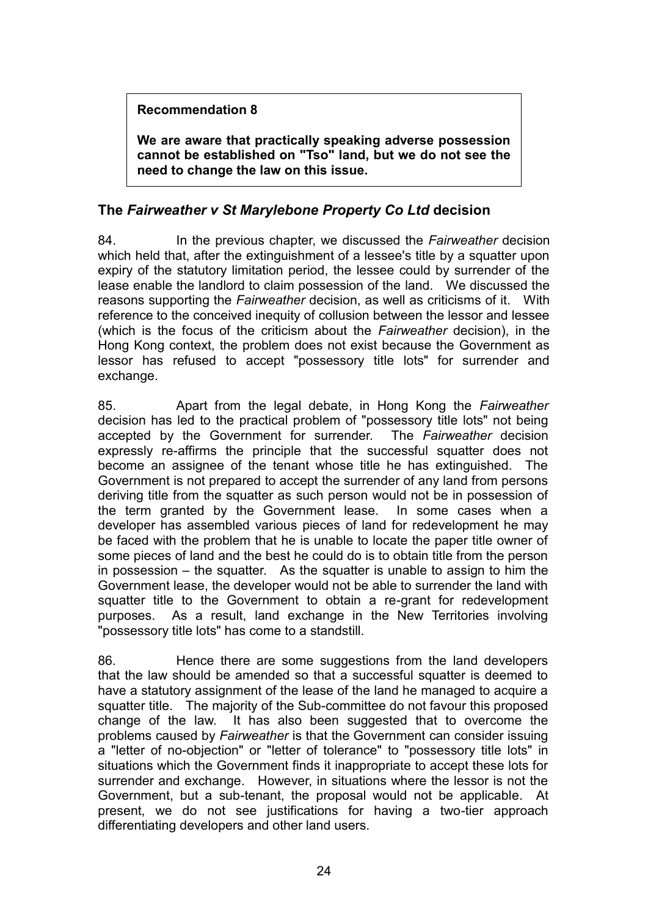## **Recommendation 8**

**We are aware that practically speaking adverse possession cannot be established on "Tso" land, but we do not see the need to change the law on this issue.** 

## **The** *Fairweather v St Marylebone Property Co Ltd* **decision**

84. In the previous chapter, we discussed the *Fairweather* decision which held that, after the extinguishment of a lessee's title by a squatter upon expiry of the statutory limitation period, the lessee could by surrender of the lease enable the landlord to claim possession of the land. We discussed the reasons supporting the *Fairweather* decision, as well as criticisms of it. With reference to the conceived inequity of collusion between the lessor and lessee (which is the focus of the criticism about the *Fairweather* decision), in the Hong Kong context, the problem does not exist because the Government as lessor has refused to accept "possessory title lots" for surrender and exchange.

85. Apart from the legal debate, in Hong Kong the *Fairweather* decision has led to the practical problem of "possessory title lots" not being accepted by the Government for surrender. The *Fairweather* decision expressly re-affirms the principle that the successful squatter does not become an assignee of the tenant whose title he has extinguished. The Government is not prepared to accept the surrender of any land from persons deriving title from the squatter as such person would not be in possession of the term granted by the Government lease. In some cases when a developer has assembled various pieces of land for redevelopment he may be faced with the problem that he is unable to locate the paper title owner of some pieces of land and the best he could do is to obtain title from the person in possession – the squatter. As the squatter is unable to assign to him the Government lease, the developer would not be able to surrender the land with squatter title to the Government to obtain a re-grant for redevelopment purposes. As a result, land exchange in the New Territories involving "possessory title lots" has come to a standstill.

86. Hence there are some suggestions from the land developers that the law should be amended so that a successful squatter is deemed to have a statutory assignment of the lease of the land he managed to acquire a squatter title. The majority of the Sub-committee do not favour this proposed change of the law. It has also been suggested that to overcome the problems caused by *Fairweather* is that the Government can consider issuing a "letter of no-objection" or "letter of tolerance" to "possessory title lots" in situations which the Government finds it inappropriate to accept these lots for surrender and exchange. However, in situations where the lessor is not the Government, but a sub-tenant, the proposal would not be applicable. At present, we do not see justifications for having a two-tier approach differentiating developers and other land users.